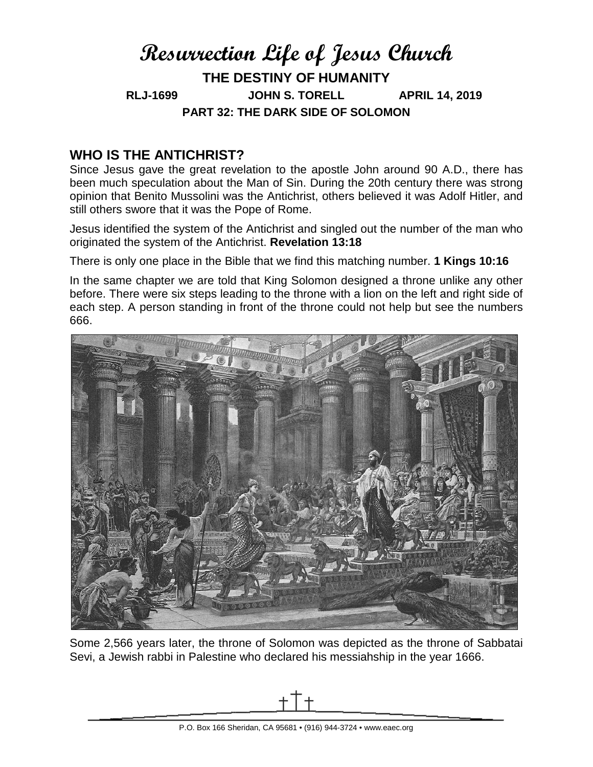# **Resurrection Life of Jesus Church THE DESTINY OF HUMANITY RLJ-1699 JOHN S. TORELL APRIL 14, 2019 PART 32: THE DARK SIDE OF SOLOMON**

### **WHO IS THE ANTICHRIST?**

Since Jesus gave the great revelation to the apostle John around 90 A.D., there has been much speculation about the Man of Sin. During the 20th century there was strong opinion that Benito Mussolini was the Antichrist, others believed it was Adolf Hitler, and still others swore that it was the Pope of Rome.

Jesus identified the system of the Antichrist and singled out the number of the man who originated the system of the Antichrist. **Revelation 13:18**

There is only one place in the Bible that we find this matching number. **1 Kings 10:16** 

In the same chapter we are told that King Solomon designed a throne unlike any other before. There were six steps leading to the throne with a lion on the left and right side of each step. A person standing in front of the throne could not help but see the numbers 666.



Some 2,566 years later, the throne of Solomon was depicted as the throne of Sabbatai Sevi, a Jewish rabbi in Palestine who declared his messiahship in the year 1666.

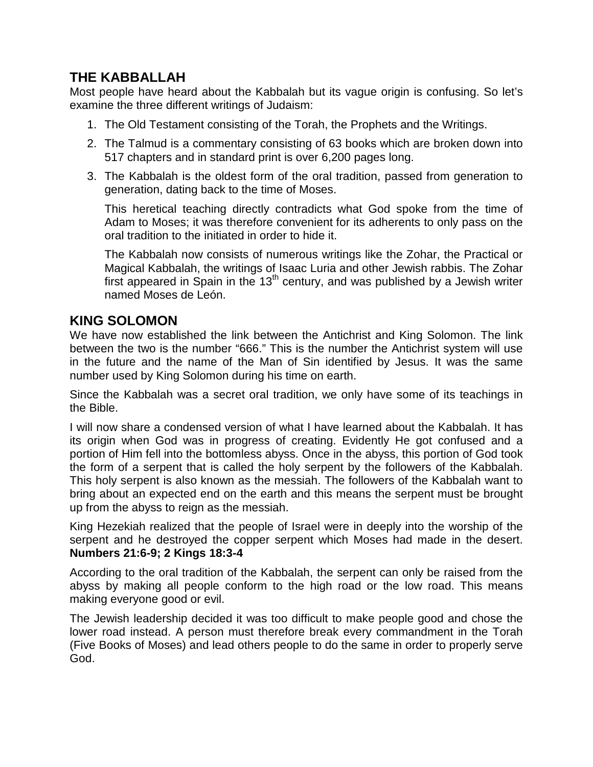#### **THE KABBALLAH**

Most people have heard about the Kabbalah but its vague origin is confusing. So let's examine the three different writings of Judaism:

- 1. The Old Testament consisting of the Torah, the Prophets and the Writings.
- 2. The Talmud is a commentary consisting of 63 books which are broken down into 517 chapters and in standard print is over 6,200 pages long.
- 3. The Kabbalah is the oldest form of the oral tradition, passed from generation to generation, dating back to the time of Moses.

This heretical teaching directly contradicts what God spoke from the time of Adam to Moses; it was therefore convenient for its adherents to only pass on the oral tradition to the initiated in order to hide it.

The Kabbalah now consists of numerous writings like the Zohar, the Practical or Magical Kabbalah, the writings of Isaac Luria and other Jewish rabbis. The Zohar first appeared in Spain in the  $13<sup>th</sup>$  century, and was published by a Jewish writer named Moses de León.

#### **KING SOLOMON**

We have now established the link between the Antichrist and King Solomon. The link between the two is the number "666." This is the number the Antichrist system will use in the future and the name of the Man of Sin identified by Jesus. It was the same number used by King Solomon during his time on earth.

Since the Kabbalah was a secret oral tradition, we only have some of its teachings in the Bible.

I will now share a condensed version of what I have learned about the Kabbalah. It has its origin when God was in progress of creating. Evidently He got confused and a portion of Him fell into the bottomless abyss. Once in the abyss, this portion of God took the form of a serpent that is called the holy serpent by the followers of the Kabbalah. This holy serpent is also known as the messiah. The followers of the Kabbalah want to bring about an expected end on the earth and this means the serpent must be brought up from the abyss to reign as the messiah.

King Hezekiah realized that the people of Israel were in deeply into the worship of the serpent and he destroyed the copper serpent which Moses had made in the desert. **Numbers 21:6-9; 2 Kings 18:3-4**

According to the oral tradition of the Kabbalah, the serpent can only be raised from the abyss by making all people conform to the high road or the low road. This means making everyone good or evil.

The Jewish leadership decided it was too difficult to make people good and chose the lower road instead. A person must therefore break every commandment in the Torah (Five Books of Moses) and lead others people to do the same in order to properly serve God.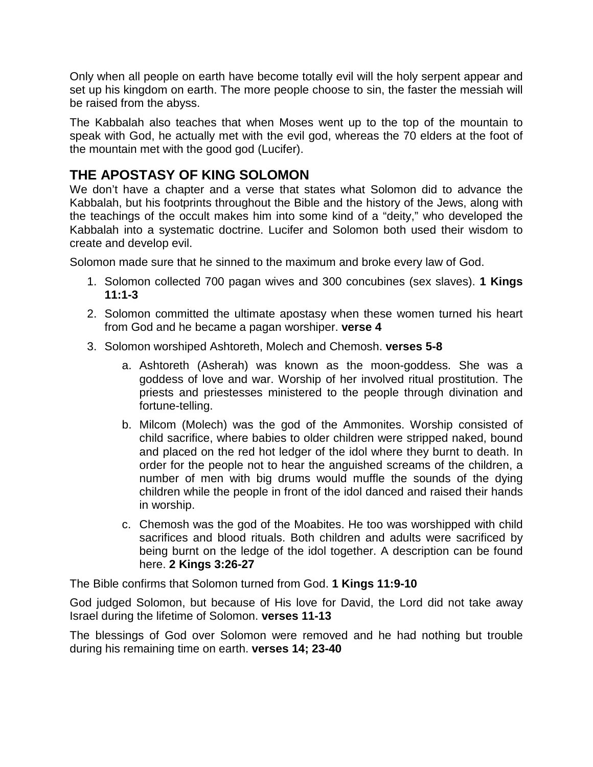Only when all people on earth have become totally evil will the holy serpent appear and set up his kingdom on earth. The more people choose to sin, the faster the messiah will be raised from the abyss.

The Kabbalah also teaches that when Moses went up to the top of the mountain to speak with God, he actually met with the evil god, whereas the 70 elders at the foot of the mountain met with the good god (Lucifer).

#### **THE APOSTASY OF KING SOLOMON**

We don't have a chapter and a verse that states what Solomon did to advance the Kabbalah, but his footprints throughout the Bible and the history of the Jews, along with the teachings of the occult makes him into some kind of a "deity," who developed the Kabbalah into a systematic doctrine. Lucifer and Solomon both used their wisdom to create and develop evil.

Solomon made sure that he sinned to the maximum and broke every law of God.

- 1. Solomon collected 700 pagan wives and 300 concubines (sex slaves). **1 Kings 11:1-3**
- 2. Solomon committed the ultimate apostasy when these women turned his heart from God and he became a pagan worshiper. **verse 4**
- 3. Solomon worshiped Ashtoreth, Molech and Chemosh. **verses 5-8**
	- a. Ashtoreth (Asherah) was known as the moon-goddess. She was a goddess of love and war. Worship of her involved ritual prostitution. The priests and priestesses ministered to the people through divination and fortune-telling.
	- b. Milcom (Molech) was the god of the Ammonites. Worship consisted of child sacrifice, where babies to older children were stripped naked, bound and placed on the red hot ledger of the idol where they burnt to death. In order for the people not to hear the anguished screams of the children, a number of men with big drums would muffle the sounds of the dying children while the people in front of the idol danced and raised their hands in worship.
	- c. Chemosh was the god of the Moabites. He too was worshipped with child sacrifices and blood rituals. Both children and adults were sacrificed by being burnt on the ledge of the idol together. A description can be found here. **2 Kings 3:26-27**

The Bible confirms that Solomon turned from God. **1 Kings 11:9-10**

God judged Solomon, but because of His love for David, the Lord did not take away Israel during the lifetime of Solomon. **verses 11-13**

The blessings of God over Solomon were removed and he had nothing but trouble during his remaining time on earth. **verses 14; 23-40**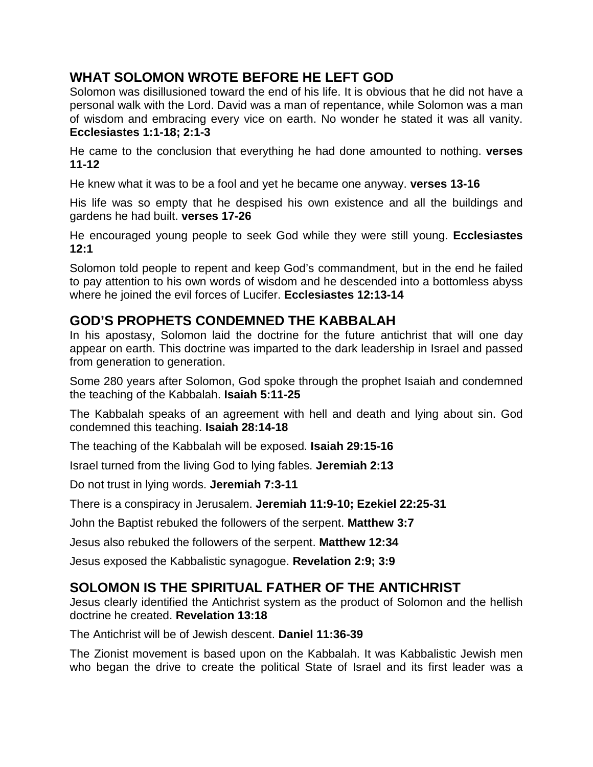#### **WHAT SOLOMON WROTE BEFORE HE LEFT GOD**

Solomon was disillusioned toward the end of his life. It is obvious that he did not have a personal walk with the Lord. David was a man of repentance, while Solomon was a man of wisdom and embracing every vice on earth. No wonder he stated it was all vanity. **Ecclesiastes 1:1-18; 2:1-3**

He came to the conclusion that everything he had done amounted to nothing. **verses 11-12**

He knew what it was to be a fool and yet he became one anyway. **verses 13-16**

His life was so empty that he despised his own existence and all the buildings and gardens he had built. **verses 17-26**

He encouraged young people to seek God while they were still young. **Ecclesiastes 12:1**

Solomon told people to repent and keep God's commandment, but in the end he failed to pay attention to his own words of wisdom and he descended into a bottomless abyss where he joined the evil forces of Lucifer. **Ecclesiastes 12:13-14**

#### **GOD'S PROPHETS CONDEMNED THE KABBALAH**

In his apostasy, Solomon laid the doctrine for the future antichrist that will one day appear on earth. This doctrine was imparted to the dark leadership in Israel and passed from generation to generation.

Some 280 years after Solomon, God spoke through the prophet Isaiah and condemned the teaching of the Kabbalah. **Isaiah 5:11-25**

The Kabbalah speaks of an agreement with hell and death and lying about sin. God condemned this teaching. **Isaiah 28:14-18**

The teaching of the Kabbalah will be exposed. **Isaiah 29:15-16**

Israel turned from the living God to lying fables. **Jeremiah 2:13**

Do not trust in lying words. **Jeremiah 7:3-11**

There is a conspiracy in Jerusalem. **Jeremiah 11:9-10; Ezekiel 22:25-31**

John the Baptist rebuked the followers of the serpent. **Matthew 3:7**

Jesus also rebuked the followers of the serpent. **Matthew 12:34**

Jesus exposed the Kabbalistic synagogue. **Revelation 2:9; 3:9**

## **SOLOMON IS THE SPIRITUAL FATHER OF THE ANTICHRIST**

Jesus clearly identified the Antichrist system as the product of Solomon and the hellish doctrine he created. **Revelation 13:18**

The Antichrist will be of Jewish descent. **Daniel 11:36-39**

The Zionist movement is based upon on the Kabbalah. It was Kabbalistic Jewish men who began the drive to create the political State of Israel and its first leader was a